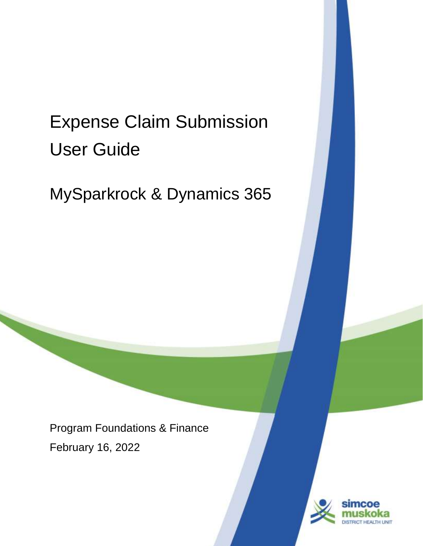# Expense Claim Submission User Guide

MySparkrock & Dynamics 365

Program Foundations & Finance February 16, 2022

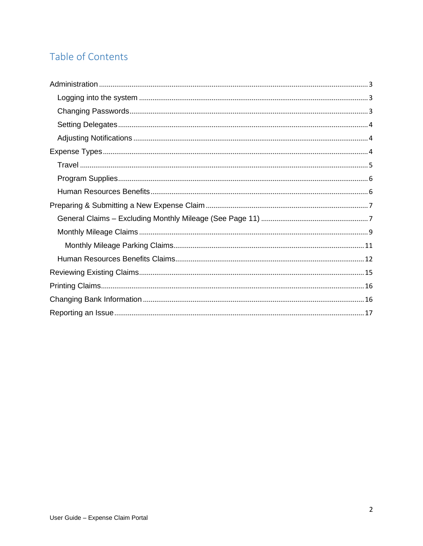# Table of Contents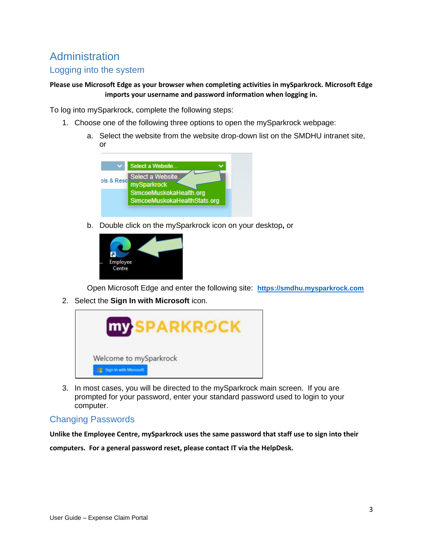# **Administration**

## Logging into the system

#### **Please use Microsoft Edge as your browser when completing activities in mySparkrock. Microsoft Edge imports your username and password information when logging in.**

To log into mySparkrock, complete the following steps:

- 1. Choose one of the following three options to open the mySparkrock webpage:
	- a. Select the website from the website drop-down list on the SMDHU intranet site, or



b. Double click on the mySparkrock icon on your desktop**,** or



Open Microsoft Edge and enter the following site: **https://smdhu.mysparkrock.com**

2. Select the **Sign In with Microsoft** icon.



3. In most cases, you will be directed to the mySparkrock main screen. If you are prompted for your password, enter your standard password used to login to your computer.

#### Changing Passwords

**Unlike the Employee Centre, mySparkrock uses the same password that staff use to sign into their** 

**computers. For a general password reset, please contact IT via the HelpDesk.**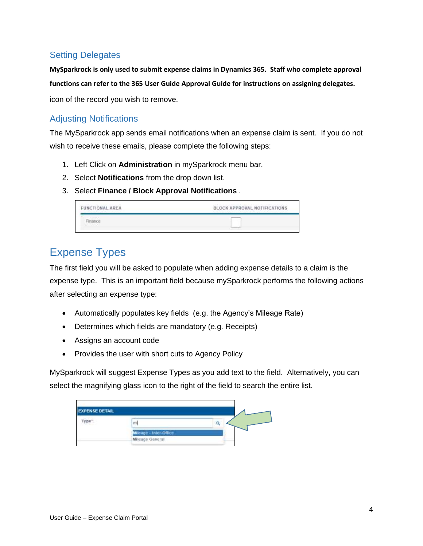## Setting Delegates

**MySparkrock is only used to submit expense claims in Dynamics 365. Staff who complete approval functions can refer to the 365 User Guide Approval Guide for instructions on assigning delegates.** icon of the record you wish to remove.

#### Adjusting Notifications

The MySparkrock app sends email notifications when an expense claim is sent. If you do not wish to receive these emails, please complete the following steps:

- 1. Left Click on **Administration** in mySparkrock menu bar.
- 2. Select **Notifications** from the drop down list.
- 3. Select **Finance / Block Approval Notifications** .

| FUNCTIONAL AREA | BLOCK APPROVAL NOTIFICATIONS |
|-----------------|------------------------------|
|                 |                              |

# Expense Types

The first field you will be asked to populate when adding expense details to a claim is the expense type. This is an important field because mySparkrock performs the following actions after selecting an expense type:

- Automatically populates key fields (e.g. the Agency's Mileage Rate)
- Determines which fields are mandatory (e.g. Receipts)
- Assigns an account code
- Provides the user with short cuts to Agency Policy

MySparkrock will suggest Expense Types as you add text to the field. Alternatively, you can select the magnifying glass icon to the right of the field to search the entire list.

| <b>EXPENSE DETAIL</b><br>ype <sup>'</sup> | -<br>mi                                   |  |
|-------------------------------------------|-------------------------------------------|--|
|                                           | Mileage - Inter-Office<br>Mileage General |  |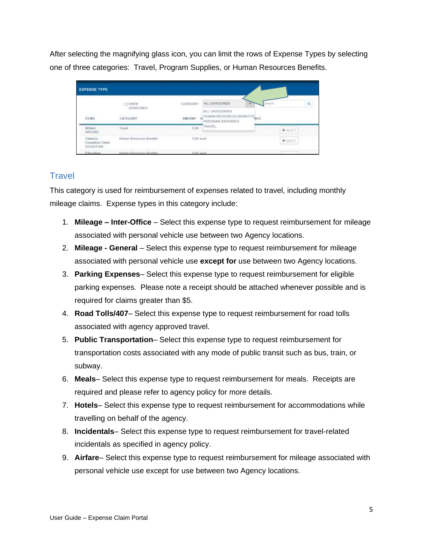After selecting the magnifying glass icon, you can limit the rows of Expense Types by selecting one of three categories: Travel, Program Supplies, or Human Resources Benefits.

| <b>EXPENSE TYPE</b>                            |                                                                                        |                |                                                                    |         |   |
|------------------------------------------------|----------------------------------------------------------------------------------------|----------------|--------------------------------------------------------------------|---------|---|
|                                                | <b>LI SHOW</b>                                                                         | CATEGORY.      | ALL: CATEGORIES                                                    |         | g |
| <b>TTEMS</b>                                   | GUIDELINES<br><b>MACHINERY</b><br><b>CATEGORY</b><br>the company's company's company's | <b>AMERINE</b> | ALL CATEGORIES<br>HUMMI RESOURCES BENEFITS MED<br>PROGRAM EXPENSES |         |   |
| Airlars.<br><b>AIRFARE</b>                     | <b>Travel</b>                                                                          | 0.00           | TRAVEL                                                             | $+1000$ |   |
| Tubacco<br><b>Connetion Claim</b><br>CESSATION | Human Resources Deneths                                                                | 6-10 each      |                                                                    | $+1057$ |   |
| Education                                      | Human Rossurues Benefits                                                               | 5.10 years.    |                                                                    |         |   |

## **Travel**

This category is used for reimbursement of expenses related to travel, including monthly mileage claims. Expense types in this category include:

- 1. **Mileage – Inter-Office** Select this expense type to request reimbursement for mileage associated with personal vehicle use between two Agency locations.
- 2. **Mileage - General** Select this expense type to request reimbursement for mileage associated with personal vehicle use **except for** use between two Agency locations.
- 3. **Parking Expenses** Select this expense type to request reimbursement for eligible parking expenses. Please note a receipt should be attached whenever possible and is required for claims greater than \$5.
- 4. **Road Tolls/407** Select this expense type to request reimbursement for road tolls associated with agency approved travel.
- 5. **Public Transportation** Select this expense type to request reimbursement for transportation costs associated with any mode of public transit such as bus, train, or subway.
- 6. **Meals** Select this expense type to request reimbursement for meals. Receipts are required and please refer to agency policy for more details.
- 7. **Hotels** Select this expense type to request reimbursement for accommodations while travelling on behalf of the agency.
- 8. **Incidentals** Select this expense type to request reimbursement for travel-related incidentals as specified in agency policy.
- 9. **Airfare** Select this expense type to request reimbursement for mileage associated with personal vehicle use except for use between two Agency locations.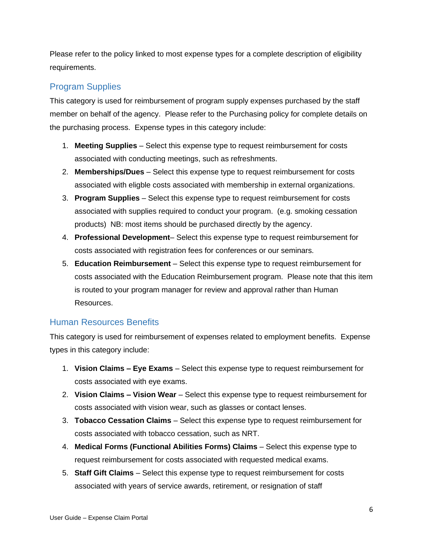Please refer to the policy linked to most expense types for a complete description of eligibility requirements.

#### Program Supplies

This category is used for reimbursement of program supply expenses purchased by the staff member on behalf of the agency. Please refer to the Purchasing policy for complete details on the purchasing process. Expense types in this category include:

- 1. **Meeting Supplies** Select this expense type to request reimbursement for costs associated with conducting meetings, such as refreshments.
- 2. **Memberships/Dues** Select this expense type to request reimbursement for costs associated with eligble costs associated with membership in external organizations.
- 3. **Program Supplies**  Select this expense type to request reimbursement for costs associated with supplies required to conduct your program. (e.g. smoking cessation products) NB: most items should be purchased directly by the agency.
- 4. **Professional Development** Select this expense type to request reimbursement for costs associated with registration fees for conferences or our seminars.
- 5. **Education Reimbursement** Select this expense type to request reimbursement for costs associated with the Education Reimbursement program. Please note that this item is routed to your program manager for review and approval rather than Human Resources.

#### Human Resources Benefits

This category is used for reimbursement of expenses related to employment benefits. Expense types in this category include:

- 1. **Vision Claims – Eye Exams** Select this expense type to request reimbursement for costs associated with eye exams.
- 2. **Vision Claims – Vision Wear** Select this expense type to request reimbursement for costs associated with vision wear, such as glasses or contact lenses.
- 3. **Tobacco Cessation Claims** Select this expense type to request reimbursement for costs associated with tobacco cessation, such as NRT.
- 4. **Medical Forms (Functional Abilities Forms) Claims** Select this expense type to request reimbursement for costs associated with requested medical exams.
- 5. **Staff Gift Claims** Select this expense type to request reimbursement for costs associated with years of service awards, retirement, or resignation of staff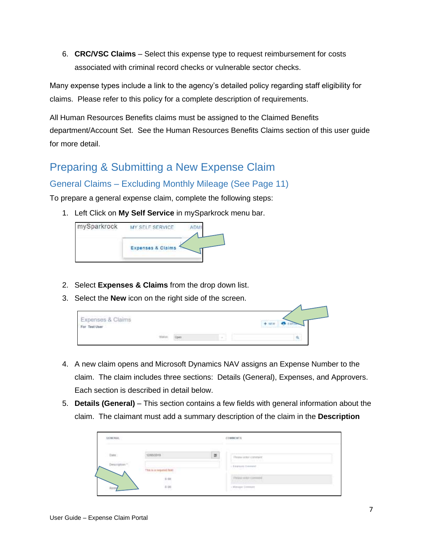6. **CRC/VSC Claims** – Select this expense type to request reimbursement for costs associated with criminal record checks or vulnerable sector checks.

Many expense types include a link to the agency's detailed policy regarding staff eligibility for claims. Please refer to this policy for a complete description of requirements.

All Human Resources Benefits claims must be assigned to the Claimed Benefits department/Account Set. See the Human Resources Benefits Claims section of this user guide for more detail.

# Preparing & Submitting a New Expense Claim General Claims – Excluding Monthly Mileage (See Page 11)

To prepare a general expense claim, complete the following steps:

1. Left Click on **My Self Service** in mySparkrock menu bar.



- 2. Select **Expenses & Claims** from the drop down list.
- 3. Select the **New** icon on the right side of the screen.

| Expenses & Claims<br>For Test User |               |        | $+1000$<br>Name of Four Art States and South |
|------------------------------------|---------------|--------|----------------------------------------------|
|                                    | and all later | $\sim$ | ۹<br>---                                     |

- 4. A new claim opens and Microsoft Dynamics NAV assigns an Expense Number to the claim. The claim includes three sections: Details (General), Expenses, and Approvers. Each section is described in detail below.
- 5. **Details (General)**  This section contains a few fields with general information about the claim. The claimant must add a summary description of the claim in the **Description**

| Date: | monist<br><b>THE REAL PROPERTY</b>                                    | E. | Pearente competi<br>1940'S Barbara (1980-1981), 1980'S Barbara |  |
|-------|-----------------------------------------------------------------------|----|----------------------------------------------------------------|--|
|       | The company of the second company of the set<br>The is a request fam. |    | o Engang Council                                               |  |
|       | 5 01<br>6 00                                                          |    | Walter (Edit) Lommel 4<br><b>STEED TO A COMPANY</b>            |  |
|       |                                                                       |    | · Advertise Comment                                            |  |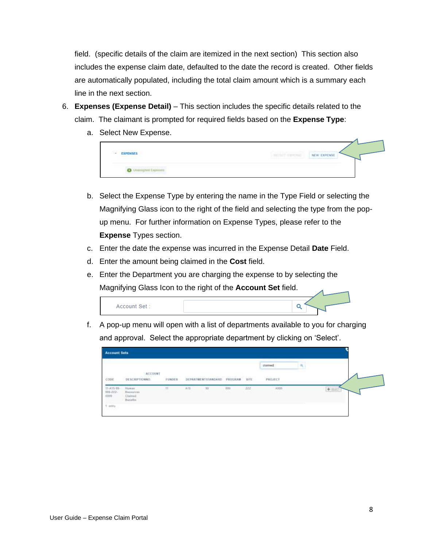field. (specific details of the claim are itemized in the next section) This section also includes the expense claim date, defaulted to the date the record is created. Other fields are automatically populated, including the total claim amount which is a summary each line in the next section.

- 6. **Expenses (Expense Detail)** This section includes the specific details related to the claim. The claimant is prompted for required fields based on the **Expense Type**:
	- a. Select New Expense.



- b. Select the Expense Type by entering the name in the Type Field or selecting the Magnifying Glass icon to the right of the field and selecting the type from the popup menu. For further information on Expense Types, please refer to the **Expense** Types section.
- c. Enter the date the expense was incurred in the Expense Detail **Date** Field.
- d. Enter the amount being claimed in the **Cost** field.
- e. Enter the Department you are charging the expense to by selecting the Magnifying Glass Icon to the right of the **Account Set** field.



f. A pop-up menu will open with a list of departments available to you for charging and approval. Select the appropriate department by clicking on 'Select'.

| <b>Account Sets</b>          |                                             |                         |     |                    |                                 |          |             |    |     |
|------------------------------|---------------------------------------------|-------------------------|-----|--------------------|---------------------------------|----------|-------------|----|-----|
|                              |                                             |                         |     |                    |                                 |          | clamed      | ч, |     |
| CODE                         | ACCOUNT<br>DESCRIPTIONNO.                   | <b>UDPOCE</b><br>FUMDES |     | DEPARTMENTSTANDARD | DOCK ORDER DODG<br>PROGRAM SITE |          | PROJECT     |    |     |
| $31-635-15-331-222-$<br>5599 | Higgan.<br>Resources<br>Clairead<br>Bandle. | $\uparrow\uparrow$      | A15 | $-21$              | $\frac{1}{2}$                   | 122<br>로 | Atto<br>n s |    | $+$ |
| <b>Carry</b>                 |                                             |                         |     |                    |                                 |          |             |    |     |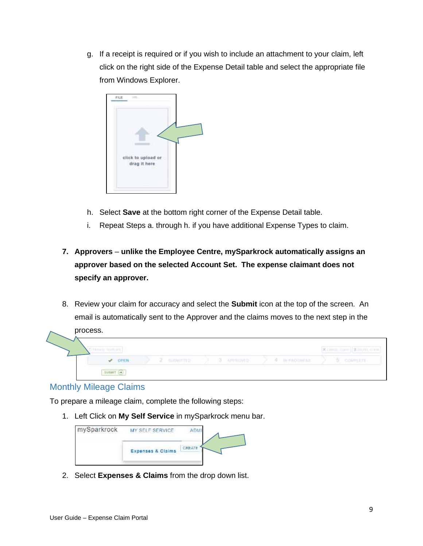g. If a receipt is required or if you wish to include an attachment to your claim, left click on the right side of the Expense Detail table and select the appropriate file from Windows Explorer.



- h. Select **Save** at the bottom right corner of the Expense Detail table.
- i. Repeat Steps a. through h. if you have additional Expense Types to claim.
- **7. Approvers unlike the Employee Centre, mySparkrock automatically assigns an approver based on the selected Account Set. The expense claimant does not specify an approver.**
- 8. Review your claim for accuracy and select the **Submit** icon at the top of the screen. An email is automatically sent to the Approver and the claims moves to the next step in the



#### Monthly Mileage Claims

To prepare a mileage claim, complete the following steps:

1. Left Click on **My Self Service** in mySparkrock menu bar.



2. Select **Expenses & Claims** from the drop down list.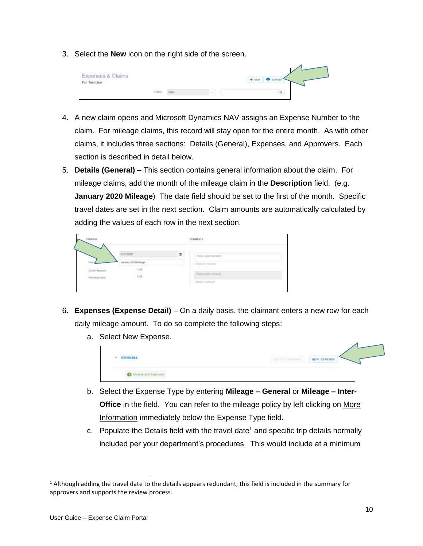3. Select the **New** icon on the right side of the screen.



- 4. A new claim opens and Microsoft Dynamics NAV assigns an Expense Number to the claim. For mileage claims, this record will stay open for the entire month. As with other claims, it includes three sections: Details (General), Expenses, and Approvers. Each section is described in detail below.
- 5. **Details (General)**  This section contains general information about the claim. For mileage claims, add the month of the mileage claim in the **Description** field. (e.g. **January 2020 Mileage**) The date field should be set to the first of the month. Specific travel dates are set in the next section. Claim amounts are automatically calculated by adding the values of each row in the next section.

| <b><i>OTHERS</i></b>             |                                          |   | TTIMMENT 4<br><i>STATISTICAL</i> |  |
|----------------------------------|------------------------------------------|---|----------------------------------|--|
|                                  | interest<br><b>January 2020 Millions</b> | 吉 | lease solar commete<br>---       |  |
| Claim Agency<br><b>RESIDENCE</b> | 110000<br>$_{\rm int}$                   |   | Engineer transport<br>Mar Anas   |  |
| <b><i>CONTRACTORS</i></b>        |                                          |   | <b>ANTICOLOGY</b><br>the control |  |

- 6. **Expenses (Expense Detail)** On a daily basis, the claimant enters a new row for each daily mileage amount. To do so complete the following steps:
	- a. Select New Expense.



- b. Select the Expense Type by entering **Mileage – General** or **Mileage – Inter-Office** in the field. You can refer to the mileage policy by left clicking on More Information immediately below the Expense Type field.
- c. Populate the Details field with the travel date<sup>1</sup> and specific trip details normally included per your department's procedures. This would include at a minimum

 $1$  Although adding the travel date to the details appears redundant, this field is included in the summary for approvers and supports the review process.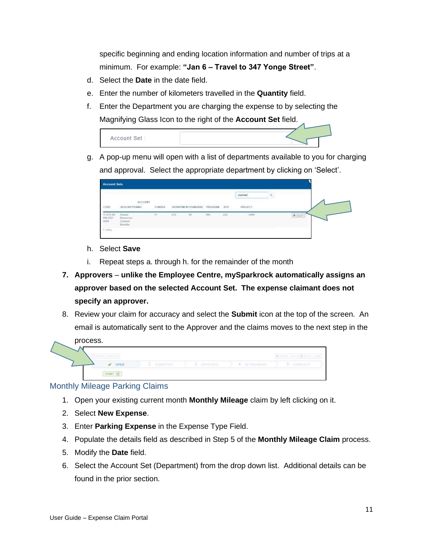specific beginning and ending location information and number of trips at a minimum. For example: **"Jan 6 – Travel to 347 Yonge Street"**.

- d. Select the **Date** in the date field.
- e. Enter the number of kilometers travelled in the **Quantity** field.
- f. Enter the Department you are charging the expense to by selecting the Magnifying Glass Icon to the right of the **Account Set** field.



g. A pop-up menu will open with a list of departments available to you for charging and approval. Select the appropriate department by clicking on 'Select'.

|                                                                                |                                              |        |      |                       |              |          | clamed    | $\mathbf{a}_1$ |         |
|--------------------------------------------------------------------------------|----------------------------------------------|--------|------|-----------------------|--------------|----------|-----------|----------------|---------|
| cont                                                                           | ACCOUNT<br>DESCRIPTIONNO.                    | FUMDES |      | DEFAILINENT ETANDARIS | PROGRAM SITE |          | PROJECT   |                |         |
| $\begin{array}{l} 51.435 - 15 \\ 331 - 222 \\ 3313 - 222 \\ 3331 \end{array}.$ | Hizean<br>Republican<br>Derest<br>Haristine. | 11     | 4.15 | 73                    | $_{\rm 300}$ | ttt<br>œ | Atto<br>œ |                | $+$ mez |

- h. Select **Save**
- i. Repeat steps a. through h. for the remainder of the month
- **7. Approvers unlike the Employee Centre, mySparkrock automatically assigns an approver based on the selected Account Set. The expense claimant does not specify an approver.**
- 8. Review your claim for accuracy and select the **Submit** icon at the top of the screen. An email is automatically sent to the Approver and the claims moves to the next step in the process.



#### Monthly Mileage Parking Claims

- 1. Open your existing current month **Monthly Mileage** claim by left clicking on it.
- 2. Select **New Expense**.
- 3. Enter **Parking Expense** in the Expense Type Field.
- 4. Populate the details field as described in Step 5 of the **Monthly Mileage Claim** process.
- 5. Modify the **Date** field.
- 6. Select the Account Set (Department) from the drop down list. Additional details can be found in the prior section.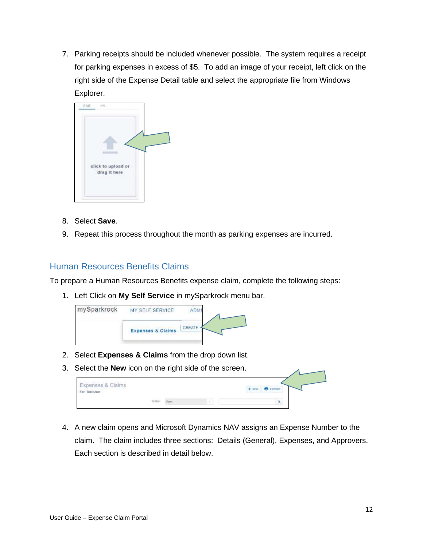7. Parking receipts should be included whenever possible. The system requires a receipt for parking expenses in excess of \$5. To add an image of your receipt, left click on the right side of the Expense Detail table and select the appropriate file from Windows Explorer.



- 8. Select **Save**.
- 9. Repeat this process throughout the month as parking expenses are incurred.

#### Human Resources Benefits Claims

To prepare a Human Resources Benefits expense claim, complete the following steps:

1. Left Click on **My Self Service** in mySparkrock menu bar.



- 2. Select **Expenses & Claims** from the drop down list.
- 3. Select the **New** icon on the right side of the screen.

| Expenses & Claims<br>control and company of the con-<br>For Test User |  |               | <b>Expansi</b><br>$+ 100$ |  |
|-----------------------------------------------------------------------|--|---------------|---------------------------|--|
|                                                                       |  | $\frac{1}{2}$ |                           |  |

4. A new claim opens and Microsoft Dynamics NAV assigns an Expense Number to the claim. The claim includes three sections: Details (General), Expenses, and Approvers. Each section is described in detail below.

 $\overline{A}$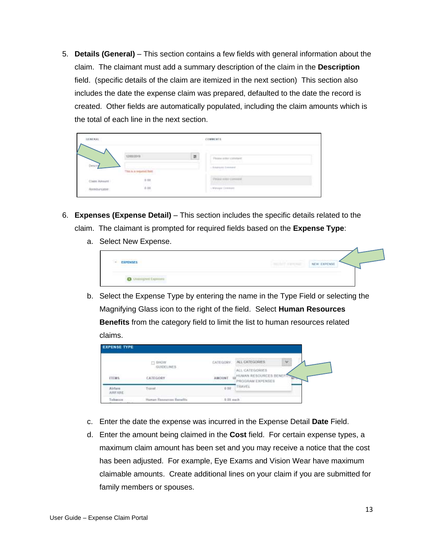5. **Details (General)** – This section contains a few fields with general information about the claim. The claimant must add a summary description of the claim in the **Description** field. (specific details of the claim are itemized in the next section) This section also includes the date the expense claim was prepared, defaulted to the date the record is created. Other fields are automatically populated, including the claim amounts which is the total of each line in the next section.

|               | <b>STATISTICS</b>                                              | U. | Peanente competi-<br>y maso a strange               |  |
|---------------|----------------------------------------------------------------|----|-----------------------------------------------------|--|
|               | Carrier and Communication of the Ar-<br>This is a request fam. |    | LL Editory of Construct<br><b>MARCHART CONTRACT</b> |  |
| Claim Amount: | 5 M<br>6 M                                                     |    | THAN IT IS LOCATED<br><b>The University</b>         |  |
|               |                                                                |    | L'Alessant Comment<br>And the Party of the          |  |

- 6. **Expenses (Expense Detail)** This section includes the specific details related to the claim. The claimant is prompted for required fields based on the **Expense Type**:
	- a. Select New Expense.

| <b>EXPENSES</b><br>್ಲ<br><b>CONTRACTOR</b>                                | <b>Lightning and Committee States</b><br><b>NEW EXPENSE</b><br><b>THE ROT STREETS</b><br>the decay at the second complete that the company of<br>the same of the basic state of the same of the same of the same of the same of the |
|---------------------------------------------------------------------------|-------------------------------------------------------------------------------------------------------------------------------------------------------------------------------------------------------------------------------------|
| O Winnport Semina<br>THE R. P. LEWIS CO., LANSING, MICH. 49-14039-1-120-2 |                                                                                                                                                                                                                                     |

b. Select the Expense Type by entering the name in the Type Field or selecting the Magnifying Glass icon to the right of the field. Select **Human Resources Benefits** from the category field to limit the list to human resources related claims.

| <b>EXPENSE TYPE</b>  |                                                 |                                  |                                                               |
|----------------------|-------------------------------------------------|----------------------------------|---------------------------------------------------------------|
| <b>ITEMS</b>         | $\Box$ finally<br><b>GUIDELINES</b><br>CATEGORY | CATEGORY.<br>and the company's a | $\check{\,}$<br>ALL CATEGORIES:                               |
|                      |                                                 | <b>AMOUNT</b>                    | ALL CATEGORIES<br>HUMAN RESOURCES BENEFIT<br>PROGRAM EXPENSES |
| Airture.<br>AIRFARE: | Travel                                          | 0.00                             | TRAVEL                                                        |
| Inhacen              | Human Resources Benefits                        | 0.00 each                        |                                                               |

- c. Enter the date the expense was incurred in the Expense Detail **Date** Field.
- d. Enter the amount being claimed in the **Cost** field. For certain expense types, a maximum claim amount has been set and you may receive a notice that the cost has been adjusted. For example, Eye Exams and Vision Wear have maximum claimable amounts. Create additional lines on your claim if you are submitted for family members or spouses.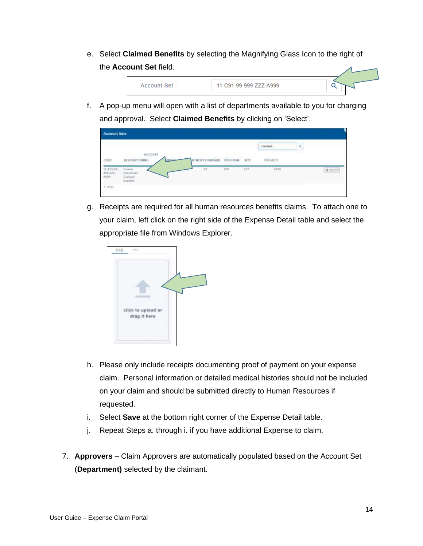e. Select **Claimed Benefits** by selecting the Magnifying Glass Icon to the right of the **Account Set** field.



f. A pop-up menu will open with a list of departments available to you for charging and approval. Select **Claimed Benefits** by clicking on 'Select'.



g. Receipts are required for all human resources benefits claims. To attach one to your claim, left click on the right side of the Expense Detail table and select the appropriate file from Windows Explorer.



- h. Please only include receipts documenting proof of payment on your expense claim. Personal information or detailed medical histories should not be included on your claim and should be submitted directly to Human Resources if requested.
- i. Select **Save** at the bottom right corner of the Expense Detail table.
- j. Repeat Steps a. through i. if you have additional Expense to claim.
- 7. **Approvers**  Claim Approvers are automatically populated based on the Account Set (**Department)** selected by the claimant.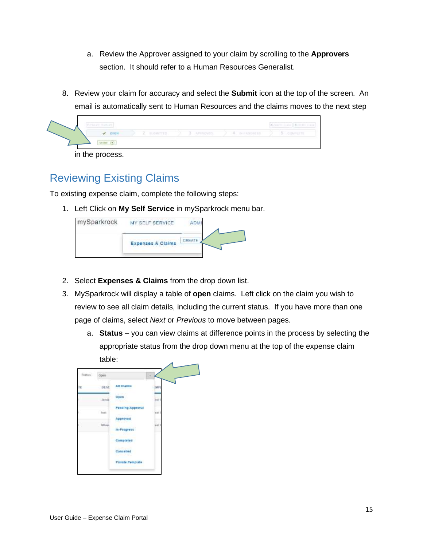- a. Review the Approver assigned to your claim by scrolling to the **Approvers**  section. It should refer to a Human Resources Generalist.
- 8. Review your claim for accuracy and select the **Submit** icon at the top of the screen. An email is automatically sent to Human Resources and the claims moves to the next step



in the process.

## Reviewing Existing Claims

To existing expense claim, complete the following steps:

1. Left Click on **My Self Service** in mySparkrock menu bar.



- 2. Select **Expenses & Claims** from the drop down list.
- 3. MySparkrock will display a table of **open** claims. Left click on the claim you wish to review to see all claim details, including the current status. If you have more than one page of claims, select *Next* or *Previous* to move between pages.
	- a. **Status**  you can view claims at difference points in the process by selecting the appropriate status from the drop down menu at the top of the expense claim table:

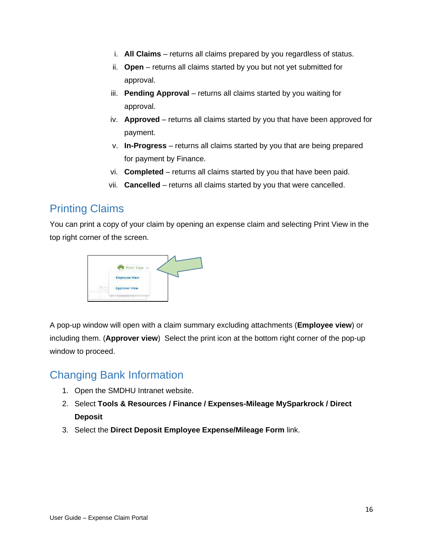- i. **All Claims** returns all claims prepared by you regardless of status.
- ii. **Open** returns all claims started by you but not yet submitted for approval.
- iii. **Pending Approval** returns all claims started by you waiting for approval.
- iv. **Approved** returns all claims started by you that have been approved for payment.
- v. **In-Progress** returns all claims started by you that are being prepared for payment by Finance.
- vi. **Completed** returns all claims started by you that have been paid.
- vii. **Cancelled** returns all claims started by you that were cancelled.

## Printing Claims

You can print a copy of your claim by opening an expense claim and selecting Print View in the top right corner of the screen.



A pop-up window will open with a claim summary excluding attachments (**Employee view**) or including them. (**Approver view**) Select the print icon at the bottom right corner of the pop-up window to proceed.

## Changing Bank Information

- 1. Open the SMDHU Intranet website.
- 2. Select **Tools & Resources / Finance / Expenses-Mileage MySparkrock / Direct Deposit**
- 3. Select the **Direct Deposit Employee Expense/Mileage Form** link.